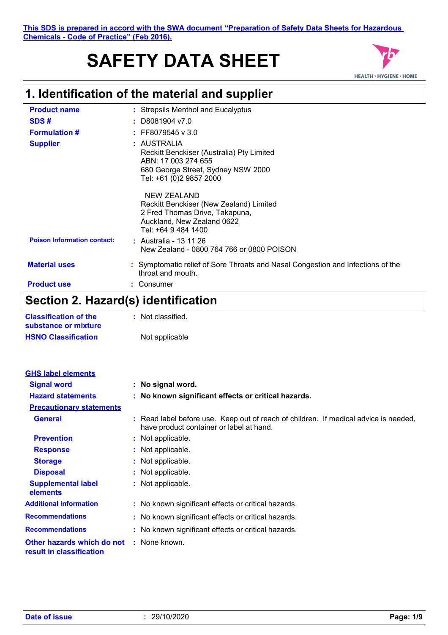# **SAFETY DATA SHEET**



# **1. Identification of the material and supplier**

| <b>Product name</b>                | : Strepsils Menthol and Eucalyptus                                                                                                               |
|------------------------------------|--------------------------------------------------------------------------------------------------------------------------------------------------|
| SDS#                               | $:$ D8081904 v7.0                                                                                                                                |
| <b>Formulation #</b>               | $\div$ FF8079545 v 3.0                                                                                                                           |
| <b>Supplier</b>                    | : AUSTRALIA<br>Reckitt Benckiser (Australia) Pty Limited<br>ABN: 17 003 274 655<br>680 George Street, Sydney NSW 2000<br>Tel: +61 (0)2 9857 2000 |
|                                    | NEW ZEALAND<br>Reckitt Benckiser (New Zealand) Limited<br>2 Fred Thomas Drive, Takapuna,<br>Auckland, New Zealand 0622<br>Tel: +64 9 484 1400    |
| <b>Poison Information contact:</b> | : Australia - 13 11 26<br>New Zealand - 0800 764 766 or 0800 POISON                                                                              |
| <b>Material uses</b>               | : Symptomatic relief of Sore Throats and Nasal Congestion and Infections of the<br>throat and mouth.                                             |
| <b>Product use</b>                 | : Consumer                                                                                                                                       |
| $\sim$ $\blacksquare$              | .<br>.                                                                                                                                           |

### **Section 2. Hazard(s) identification**

| <b>Classification of the</b> | : Not classified. |
|------------------------------|-------------------|
| substance or mixture         |                   |
| <b>HSNO Classification</b>   | Not applicable    |

| <b>GHS label elements</b>                              |                                                                                                                                  |
|--------------------------------------------------------|----------------------------------------------------------------------------------------------------------------------------------|
| <b>Signal word</b>                                     | : No signal word.                                                                                                                |
| <b>Hazard statements</b>                               | : No known significant effects or critical hazards.                                                                              |
| <b>Precautionary statements</b>                        |                                                                                                                                  |
| <b>General</b>                                         | : Read label before use. Keep out of reach of children. If medical advice is needed,<br>have product container or label at hand. |
| <b>Prevention</b>                                      | : Not applicable.                                                                                                                |
| <b>Response</b>                                        | : Not applicable.                                                                                                                |
| <b>Storage</b>                                         | : Not applicable.                                                                                                                |
| <b>Disposal</b>                                        | : Not applicable.                                                                                                                |
| <b>Supplemental label</b><br>elements                  | : Not applicable.                                                                                                                |
| <b>Additional information</b>                          | : No known significant effects or critical hazards.                                                                              |
| <b>Recommendations</b>                                 | : No known significant effects or critical hazards.                                                                              |
| <b>Recommendations</b>                                 | : No known significant effects or critical hazards.                                                                              |
| Other hazards which do not<br>result in classification | : None known.                                                                                                                    |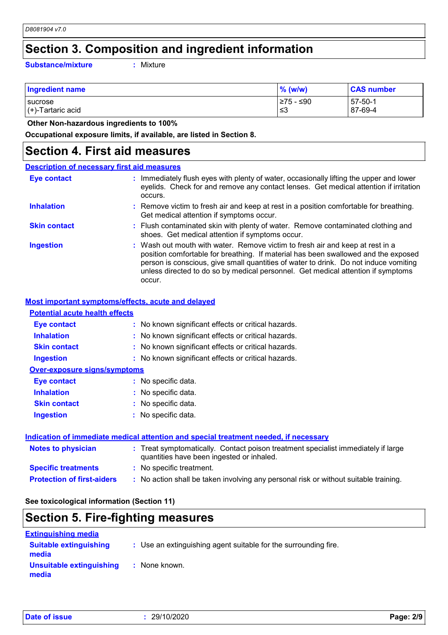# **Section 3. Composition and ingredient information**

**Substance/mixture :**

: Mixture

| Ingredient name           | $%$ (w/w)  | <b>CAS number</b> |
|---------------------------|------------|-------------------|
| sucrose                   | l≥75 - ≤90 | $57 - 50 - 1$     |
| $\vert$ (+)-Tartaric acid | ≲3         | 87-69-4           |

 **Other Non-hazardous ingredients to 100%**

**Occupational exposure limits, if available, are listed in Section 8.**

### **Section 4. First aid measures**

| <b>Description of necessary first aid measures</b> |                                                                                                                                                                                                                                                                                                                                                           |  |
|----------------------------------------------------|-----------------------------------------------------------------------------------------------------------------------------------------------------------------------------------------------------------------------------------------------------------------------------------------------------------------------------------------------------------|--|
| <b>Eye contact</b>                                 | : Immediately flush eyes with plenty of water, occasionally lifting the upper and lower<br>eyelids. Check for and remove any contact lenses. Get medical attention if irritation<br>occurs.                                                                                                                                                               |  |
| <b>Inhalation</b>                                  | : Remove victim to fresh air and keep at rest in a position comfortable for breathing.<br>Get medical attention if symptoms occur.                                                                                                                                                                                                                        |  |
| <b>Skin contact</b>                                | : Flush contaminated skin with plenty of water. Remove contaminated clothing and<br>shoes. Get medical attention if symptoms occur.                                                                                                                                                                                                                       |  |
| <b>Ingestion</b>                                   | : Wash out mouth with water. Remove victim to fresh air and keep at rest in a<br>position comfortable for breathing. If material has been swallowed and the exposed<br>person is conscious, give small quantities of water to drink. Do not induce vomiting<br>unless directed to do so by medical personnel. Get medical attention if symptoms<br>occur. |  |

#### **Most important symptoms/effects, acute and delayed**

| <b>Potential acute health effects</b> |                                                     |
|---------------------------------------|-----------------------------------------------------|
| <b>Eye contact</b>                    | : No known significant effects or critical hazards. |
| <b>Inhalation</b>                     | : No known significant effects or critical hazards. |
| <b>Skin contact</b>                   | : No known significant effects or critical hazards. |
| <b>Ingestion</b>                      | : No known significant effects or critical hazards. |
| Over-exposure signs/symptoms          |                                                     |
| <b>Eve contact</b>                    | : No specific data.                                 |
| <b>Inhalation</b>                     | : No specific data.                                 |
| <b>Skin contact</b>                   | : No specific data.                                 |
| <b>Ingestion</b>                      | : No specific data.                                 |
|                                       |                                                     |
|                                       |                                                     |

| Indication of immediate medical attention and special treatment needed, if necessary |                                                                                                                                |  |
|--------------------------------------------------------------------------------------|--------------------------------------------------------------------------------------------------------------------------------|--|
| <b>Notes to physician</b>                                                            | : Treat symptomatically. Contact poison treatment specialist immediately if large<br>quantities have been ingested or inhaled. |  |
| <b>Specific treatments</b>                                                           | : No specific treatment.                                                                                                       |  |
| <b>Protection of first-aiders</b>                                                    | : No action shall be taken involving any personal risk or without suitable training.                                           |  |

**See toxicological information (Section 11)**

### **Section 5. Fire-fighting measures**

| <b>Extinguishing media</b>             |                                                                 |
|----------------------------------------|-----------------------------------------------------------------|
| <b>Suitable extinguishing</b><br>media | : Use an extinguishing agent suitable for the surrounding fire. |
| Unsuitable extinguishing<br>media      | : None known.                                                   |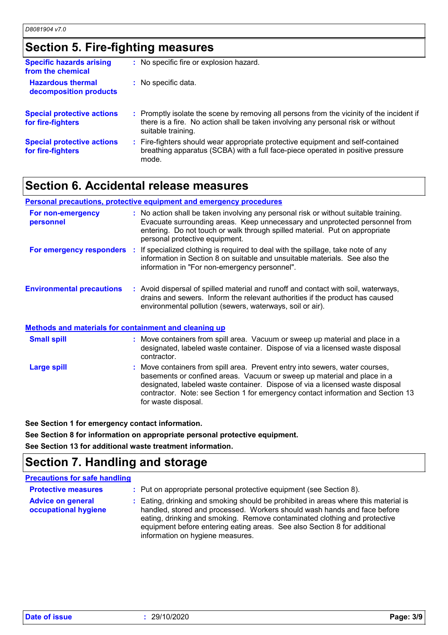# **Section 5. Fire-fighting measures**

| <b>Specific hazards arising</b><br>from the chemical   | : No specific fire or explosion hazard.                                                                                                                                                             |
|--------------------------------------------------------|-----------------------------------------------------------------------------------------------------------------------------------------------------------------------------------------------------|
| <b>Hazardous thermal</b><br>decomposition products     | : No specific data.                                                                                                                                                                                 |
| <b>Special protective actions</b><br>for fire-fighters | : Promptly isolate the scene by removing all persons from the vicinity of the incident if<br>there is a fire. No action shall be taken involving any personal risk or without<br>suitable training. |
| <b>Special protective actions</b><br>for fire-fighters | : Fire-fighters should wear appropriate protective equipment and self-contained<br>breathing apparatus (SCBA) with a full face-piece operated in positive pressure<br>mode.                         |

### **Section 6. Accidental release measures**

| <b>Personal precautions, protective equipment and emergency procedures</b> |                                                                                                                                                                                                                                                                                                                                                     |  |
|----------------------------------------------------------------------------|-----------------------------------------------------------------------------------------------------------------------------------------------------------------------------------------------------------------------------------------------------------------------------------------------------------------------------------------------------|--|
| For non-emergency<br>personnel                                             | : No action shall be taken involving any personal risk or without suitable training.<br>Evacuate surrounding areas. Keep unnecessary and unprotected personnel from<br>entering. Do not touch or walk through spilled material. Put on appropriate<br>personal protective equipment.                                                                |  |
| For emergency responders                                                   | : If specialized clothing is required to deal with the spillage, take note of any<br>information in Section 8 on suitable and unsuitable materials. See also the<br>information in "For non-emergency personnel".                                                                                                                                   |  |
| <b>Environmental precautions</b>                                           | : Avoid dispersal of spilled material and runoff and contact with soil, waterways,<br>drains and sewers. Inform the relevant authorities if the product has caused<br>environmental pollution (sewers, waterways, soil or air).                                                                                                                     |  |
| <b>Methods and materials for containment and cleaning up</b>               |                                                                                                                                                                                                                                                                                                                                                     |  |
| <b>Small spill</b>                                                         | : Move containers from spill area. Vacuum or sweep up material and place in a<br>designated, labeled waste container. Dispose of via a licensed waste disposal<br>contractor.                                                                                                                                                                       |  |
| <b>Large spill</b>                                                         | : Move containers from spill area. Prevent entry into sewers, water courses,<br>basements or confined areas. Vacuum or sweep up material and place in a<br>designated, labeled waste container. Dispose of via a licensed waste disposal<br>contractor. Note: see Section 1 for emergency contact information and Section 13<br>for waste disposal. |  |

**See Section 1 for emergency contact information.**

**See Section 8 for information on appropriate personal protective equipment.**

**See Section 13 for additional waste treatment information.**

## **Section 7. Handling and storage**

### **Precautions for safe handling**

| <b>Protective measures</b>                       | : Put on appropriate personal protective equipment (see Section 8).                                                                                                                                                                                                                                                                                           |
|--------------------------------------------------|---------------------------------------------------------------------------------------------------------------------------------------------------------------------------------------------------------------------------------------------------------------------------------------------------------------------------------------------------------------|
| <b>Advice on general</b><br>occupational hygiene | : Eating, drinking and smoking should be prohibited in areas where this material is<br>handled, stored and processed. Workers should wash hands and face before<br>eating, drinking and smoking. Remove contaminated clothing and protective<br>equipment before entering eating areas. See also Section 8 for additional<br>information on hygiene measures. |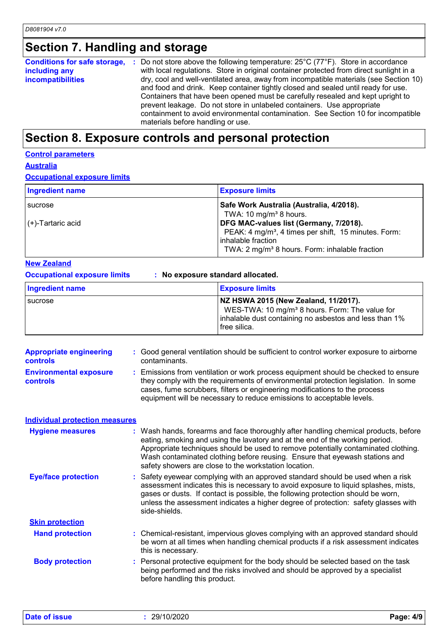# **Section 7. Handling and storage**

|                          | <b>Conditions for safe storage, :</b> Do not store above the following temperature: $25^{\circ}$ C (77 $^{\circ}$ F). Store in accordance |
|--------------------------|-------------------------------------------------------------------------------------------------------------------------------------------|
| including any            | with local regulations. Store in original container protected from direct sunlight in a                                                   |
| <i>incompatibilities</i> | dry, cool and well-ventilated area, away from incompatible materials (see Section 10)                                                     |
|                          | and food and drink. Keep container tightly closed and sealed until ready for use.                                                         |
|                          | Containers that have been opened must be carefully resealed and kept upright to                                                           |
|                          | prevent leakage. Do not store in unlabeled containers. Use appropriate                                                                    |
|                          | containment to avoid environmental contamination. See Section 10 for incompatible                                                         |
|                          | materials before handling or use.                                                                                                         |

# **Section 8. Exposure controls and personal protection**

### **Control parameters**

### **Australia**

**Occupational exposure limits**

| Ingredient name      | <b>Exposure limits</b>                                           |
|----------------------|------------------------------------------------------------------|
| sucrose              | Safe Work Australia (Australia, 4/2018).                         |
|                      | TWA: 10 mg/m <sup>3</sup> 8 hours.                               |
| $(+)$ -Tartaric acid | DFG MAC-values list (Germany, 7/2018).                           |
|                      | PEAK: 4 mg/m <sup>3</sup> , 4 times per shift, 15 minutes. Form: |
|                      | inhalable fraction                                               |
|                      | TWA: 2 mg/m <sup>3</sup> 8 hours. Form: inhalable fraction       |

### **New Zealand**

### **Occupational exposure limits : No exposure standard allocated.**

| <b>Ingredient name</b> | <b>Exposure limits</b>                                                                                                                                                         |
|------------------------|--------------------------------------------------------------------------------------------------------------------------------------------------------------------------------|
| I sucrose              | NZ HSWA 2015 (New Zealand, 11/2017).<br>WES-TWA: 10 mg/m <sup>3</sup> 8 hours. Form: The value for<br>inhalable dust containing no asbestos and less than 1%<br>I free silica. |

| <b>Appropriate engineering</b>                   | : Good general ventilation should be sufficient to control worker exposure to airborne                                                                                                                                                                                                                                          |
|--------------------------------------------------|---------------------------------------------------------------------------------------------------------------------------------------------------------------------------------------------------------------------------------------------------------------------------------------------------------------------------------|
| <b>controls</b>                                  | contaminants.                                                                                                                                                                                                                                                                                                                   |
| <b>Environmental exposure</b><br><b>controls</b> | : Emissions from ventilation or work process equipment should be checked to ensure<br>they comply with the requirements of environmental protection legislation. In some<br>cases, fume scrubbers, filters or engineering modifications to the process<br>equipment will be necessary to reduce emissions to acceptable levels. |

| <b>Individual protection measures</b> |                                                                                                                                                                                                                                                                                                                                                                                                   |
|---------------------------------------|---------------------------------------------------------------------------------------------------------------------------------------------------------------------------------------------------------------------------------------------------------------------------------------------------------------------------------------------------------------------------------------------------|
| <b>Hygiene measures</b>               | : Wash hands, forearms and face thoroughly after handling chemical products, before<br>eating, smoking and using the lavatory and at the end of the working period.<br>Appropriate techniques should be used to remove potentially contaminated clothing.<br>Wash contaminated clothing before reusing. Ensure that eyewash stations and<br>safety showers are close to the workstation location. |
| <b>Eye/face protection</b>            | : Safety eyewear complying with an approved standard should be used when a risk<br>assessment indicates this is necessary to avoid exposure to liquid splashes, mists,<br>gases or dusts. If contact is possible, the following protection should be worn,<br>unless the assessment indicates a higher degree of protection: safety glasses with<br>side-shields.                                 |
| <b>Skin protection</b>                |                                                                                                                                                                                                                                                                                                                                                                                                   |
| <b>Hand protection</b>                | : Chemical-resistant, impervious gloves complying with an approved standard should<br>be worn at all times when handling chemical products if a risk assessment indicates<br>this is necessary.                                                                                                                                                                                                   |
| <b>Body protection</b>                | : Personal protective equipment for the body should be selected based on the task<br>being performed and the risks involved and should be approved by a specialist<br>before handling this product.                                                                                                                                                                                               |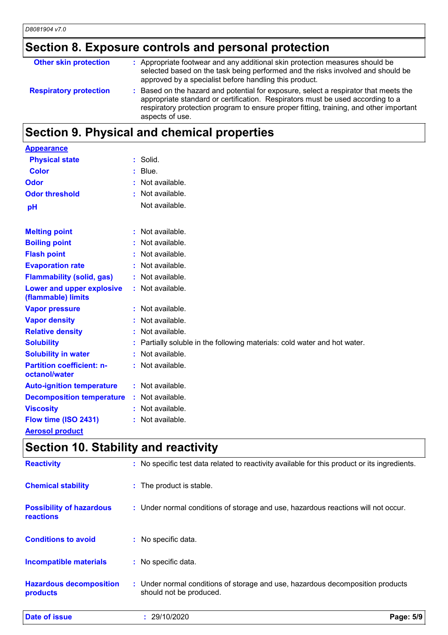# **Section 8. Exposure controls and personal protection**

| <b>Other skin protection</b>  | : Appropriate footwear and any additional skin protection measures should be<br>selected based on the task being performed and the risks involved and should be<br>approved by a specialist before handling this product.                                                           |
|-------------------------------|-------------------------------------------------------------------------------------------------------------------------------------------------------------------------------------------------------------------------------------------------------------------------------------|
| <b>Respiratory protection</b> | : Based on the hazard and potential for exposure, select a respirator that meets the<br>appropriate standard or certification. Respirators must be used according to a<br>respiratory protection program to ensure proper fitting, training, and other important<br>aspects of use. |

# **Section 9. Physical and chemical properties**

| <b>Appearance</b>                                 |    |                                                                           |
|---------------------------------------------------|----|---------------------------------------------------------------------------|
| <b>Physical state</b>                             |    | $:$ Solid.                                                                |
| <b>Color</b>                                      | ÷. | Blue.                                                                     |
| Odor                                              |    | : Not available.                                                          |
| <b>Odor threshold</b>                             |    | : Not available.                                                          |
| pH                                                |    | Not available.                                                            |
| <b>Melting point</b>                              |    | : Not available.                                                          |
| <b>Boiling point</b>                              |    | : Not available.                                                          |
| <b>Flash point</b>                                |    | : Not available.                                                          |
| <b>Evaporation rate</b>                           |    | : Not available.                                                          |
| <b>Flammability (solid, gas)</b>                  |    | : Not available.                                                          |
| Lower and upper explosive<br>(flammable) limits   |    | : Not available.                                                          |
| <b>Vapor pressure</b>                             |    | $:$ Not available.                                                        |
| <b>Vapor density</b>                              |    | : Not available.                                                          |
| <b>Relative density</b>                           |    | : Not available.                                                          |
| <b>Solubility</b>                                 |    | : Partially soluble in the following materials: cold water and hot water. |
| <b>Solubility in water</b>                        |    | : Not available.                                                          |
| <b>Partition coefficient: n-</b><br>octanol/water |    | $:$ Not available.                                                        |
| <b>Auto-ignition temperature</b>                  |    | $:$ Not available.                                                        |
| <b>Decomposition temperature</b>                  |    | : Not available.                                                          |
| <b>Viscosity</b>                                  |    | : Not available.                                                          |
| Flow time (ISO 2431)                              |    | $:$ Not available.                                                        |
| <b>Aerosol product</b>                            |    |                                                                           |

# **Section 10. Stability and reactivity**

| <b>Date of issue</b>                                | : 29/10/2020                                                                                              | Page: 5/9 |  |
|-----------------------------------------------------|-----------------------------------------------------------------------------------------------------------|-----------|--|
| <b>Hazardous decomposition</b><br>products          | : Under normal conditions of storage and use, hazardous decomposition products<br>should not be produced. |           |  |
| <b>Incompatible materials</b>                       | : No specific data.                                                                                       |           |  |
| <b>Conditions to avoid</b>                          | : No specific data.                                                                                       |           |  |
| <b>Possibility of hazardous</b><br><b>reactions</b> | : Under normal conditions of storage and use, hazardous reactions will not occur.                         |           |  |
| <b>Chemical stability</b>                           | : The product is stable.                                                                                  |           |  |
| <b>Reactivity</b>                                   | : No specific test data related to reactivity available for this product or its ingredients.              |           |  |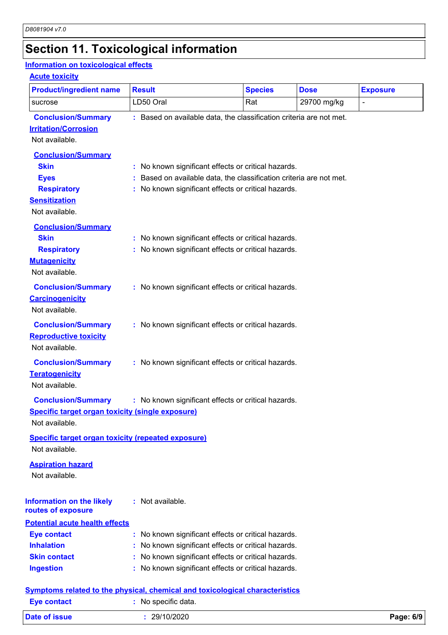# **Section 11. Toxicological information**

### **Information on toxicological effects**

| <b>Product/ingredient name</b>                                             | <b>Result</b>                                                       | <b>Species</b> | <b>Dose</b> | <b>Exposure</b> |
|----------------------------------------------------------------------------|---------------------------------------------------------------------|----------------|-------------|-----------------|
| sucrose                                                                    | LD50 Oral                                                           | Rat            | 29700 mg/kg | $\blacksquare$  |
| <b>Conclusion/Summary</b><br><b>Irritation/Corrosion</b><br>Not available. | : Based on available data, the classification criteria are not met. |                |             |                 |
| <b>Conclusion/Summary</b>                                                  |                                                                     |                |             |                 |
| <b>Skin</b>                                                                | : No known significant effects or critical hazards.                 |                |             |                 |
| <b>Eyes</b>                                                                | : Based on available data, the classification criteria are not met. |                |             |                 |
| <b>Respiratory</b>                                                         | : No known significant effects or critical hazards.                 |                |             |                 |
| <b>Sensitization</b>                                                       |                                                                     |                |             |                 |
| Not available.                                                             |                                                                     |                |             |                 |
| <b>Conclusion/Summary</b>                                                  |                                                                     |                |             |                 |
| <b>Skin</b>                                                                | : No known significant effects or critical hazards.                 |                |             |                 |
| <b>Respiratory</b>                                                         | : No known significant effects or critical hazards.                 |                |             |                 |
| <b>Mutagenicity</b>                                                        |                                                                     |                |             |                 |
| Not available.                                                             |                                                                     |                |             |                 |
| <b>Conclusion/Summary</b>                                                  | : No known significant effects or critical hazards.                 |                |             |                 |
| <b>Carcinogenicity</b>                                                     |                                                                     |                |             |                 |
| Not available.                                                             |                                                                     |                |             |                 |
| <b>Conclusion/Summary</b>                                                  | : No known significant effects or critical hazards.                 |                |             |                 |
| <b>Reproductive toxicity</b>                                               |                                                                     |                |             |                 |
| Not available.                                                             |                                                                     |                |             |                 |
| <b>Conclusion/Summary</b>                                                  | : No known significant effects or critical hazards.                 |                |             |                 |
| <b>Teratogenicity</b>                                                      |                                                                     |                |             |                 |
| Not available.                                                             |                                                                     |                |             |                 |
| <b>Conclusion/Summary</b>                                                  | : No known significant effects or critical hazards.                 |                |             |                 |
| <b>Specific target organ toxicity (single exposure)</b>                    |                                                                     |                |             |                 |
| Not available.                                                             |                                                                     |                |             |                 |
| <b>Specific target organ toxicity (repeated exposure)</b>                  |                                                                     |                |             |                 |
| Not available.                                                             |                                                                     |                |             |                 |
| <b>Aspiration hazard</b>                                                   |                                                                     |                |             |                 |
| Not available.                                                             |                                                                     |                |             |                 |
|                                                                            |                                                                     |                |             |                 |
| <b>Information on the likely</b>                                           | : Not available.                                                    |                |             |                 |
| routes of exposure                                                         |                                                                     |                |             |                 |
| <b>Potential acute health effects</b>                                      |                                                                     |                |             |                 |
| <b>Eye contact</b>                                                         | : No known significant effects or critical hazards.                 |                |             |                 |
| <b>Inhalation</b>                                                          | : No known significant effects or critical hazards.                 |                |             |                 |
| <b>Skin contact</b>                                                        | : No known significant effects or critical hazards.                 |                |             |                 |
| <b>Ingestion</b>                                                           | : No known significant effects or critical hazards.                 |                |             |                 |

| Date of issue      | 29/10/2020        | Page: 6/9 |
|--------------------|-------------------|-----------|
| <b>Eye contact</b> | No specific data. |           |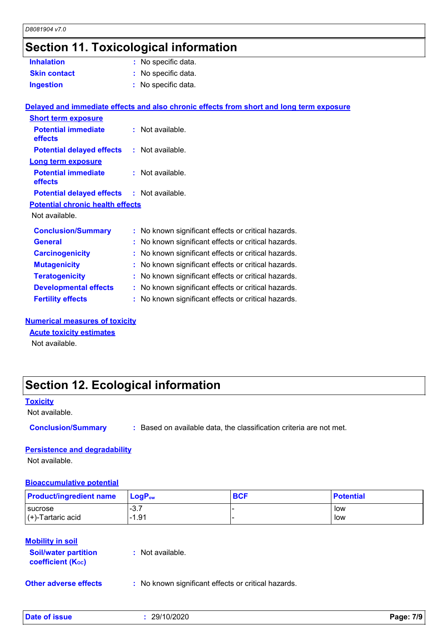# **Section 11. Toxicological information**

| <b>Inhalation</b>                                 | : No specific data.                                                                      |
|---------------------------------------------------|------------------------------------------------------------------------------------------|
| <b>Skin contact</b>                               | : No specific data.                                                                      |
| <b>Ingestion</b>                                  | : No specific data.                                                                      |
|                                                   |                                                                                          |
|                                                   | Delayed and immediate effects and also chronic effects from short and long term exposure |
| <b>Short term exposure</b>                        |                                                                                          |
| <b>Potential immediate</b>                        | : Not available.                                                                         |
| effects                                           |                                                                                          |
| <b>Potential delayed effects</b>                  | : Not available.                                                                         |
| <b>Long term exposure</b>                         |                                                                                          |
| <b>Potential immediate</b>                        | $:$ Not available.                                                                       |
| effects                                           |                                                                                          |
| <b>Potential delayed effects : Not available.</b> |                                                                                          |
| <b>Potential chronic health effects</b>           |                                                                                          |
| Not available.                                    |                                                                                          |
| <b>Conclusion/Summary</b>                         | : No known significant effects or critical hazards.                                      |
| <b>General</b>                                    | : No known significant effects or critical hazards.                                      |
| <b>Carcinogenicity</b>                            | : No known significant effects or critical hazards.                                      |
| <b>Mutagenicity</b>                               | : No known significant effects or critical hazards.                                      |
| <b>Teratogenicity</b>                             | : No known significant effects or critical hazards.                                      |
| <b>Developmental effects</b>                      | : No known significant effects or critical hazards.                                      |
| <b>Fertility effects</b>                          | : No known significant effects or critical hazards.                                      |
|                                                   |                                                                                          |

#### **Numerical measures of toxicity**

**Acute toxicity estimates**

Not available.

# **Section 12. Ecological information**

#### **Toxicity**

Not available.

**Conclusion/Summary :** Based on available data, the classification criteria are not met.

#### **Persistence and degradability**

Not available.

#### **Bioaccumulative potential**

| <b>Product/ingredient name</b> | $\mathsf{LocP}_\mathsf{ow}$ | <b>BCF</b> | <b>Potential</b> |
|--------------------------------|-----------------------------|------------|------------------|
| <b>I</b> sucrose               | $-3.7$                      |            | low              |
| $\vert$ (+)-Tartaric acid      | $-1.91$                     |            | low              |

### **Mobility in soil**

**Soil/water partition coefficient (Koc) :** Not available.

**Other adverse effects** : No known significant effects or critical hazards.

**Date of issue :** 29/10/2020 **Page: 7/9**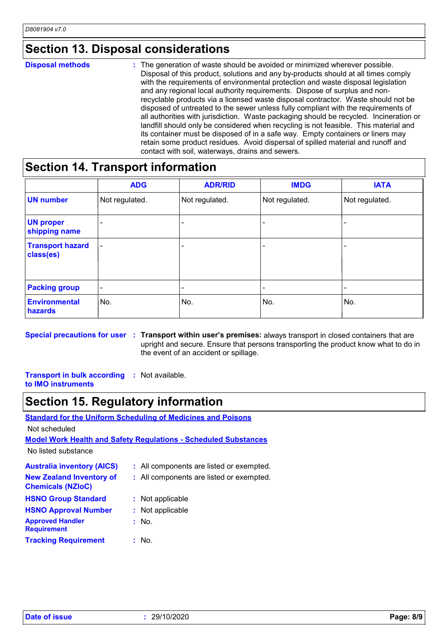### **Section 13. Disposal considerations**

#### The generation of waste should be avoided or minimized wherever possible. Disposal of this product, solutions and any by-products should at all times comply with the requirements of environmental protection and waste disposal legislation and any regional local authority requirements. Dispose of surplus and nonrecyclable products via a licensed waste disposal contractor. Waste should not be disposed of untreated to the sewer unless fully compliant with the requirements of all authorities with jurisdiction. Waste packaging should be recycled. Incineration or landfill should only be considered when recycling is not feasible. This material and its container must be disposed of in a safe way. Empty containers or liners may retain some product residues. Avoid dispersal of spilled material and runoff and contact with soil, waterways, drains and sewers. **Disposal methods :**

## **Section 14. Transport information**

|                                      | <b>ADG</b>               | <b>ADR/RID</b> | <b>IMDG</b>    | <b>IATA</b>    |
|--------------------------------------|--------------------------|----------------|----------------|----------------|
| <b>UN number</b>                     | Not regulated.           | Not regulated. | Not regulated. | Not regulated. |
| <b>UN proper</b><br>shipping name    |                          |                |                |                |
| <b>Transport hazard</b><br>class(es) | $\overline{\phantom{a}}$ |                | -              |                |
| <b>Packing group</b>                 | -                        |                |                |                |
| <b>Environmental</b><br>hazards      | No.                      | No.            | No.            | No.            |

**Special precautions for user** : Transport within user's premises: always transport in closed containers that are upright and secure. Ensure that persons transporting the product know what to do in the event of an accident or spillage.

**Transport in bulk according :** Not available. **to IMO instruments**

# **Section 15. Regulatory information**

**Standard for the Uniform Scheduling of Medicines and Poisons**

| Not scheduled                                                          |  |                                          |  |  |
|------------------------------------------------------------------------|--|------------------------------------------|--|--|
| <b>Model Work Health and Safety Regulations - Scheduled Substances</b> |  |                                          |  |  |
| No listed substance                                                    |  |                                          |  |  |
| <b>Australia inventory (AICS)</b>                                      |  | : All components are listed or exempted. |  |  |
| <b>New Zealand Inventory of</b><br><b>Chemicals (NZIoC)</b>            |  | : All components are listed or exempted. |  |  |
| <b>HSNO Group Standard</b>                                             |  | : Not applicable                         |  |  |
| <b>HSNO Approval Number</b>                                            |  | : Not applicable                         |  |  |
| <b>Approved Handler</b><br><b>Requirement</b>                          |  | : No.                                    |  |  |
| <b>Tracking Requirement</b>                                            |  | : No.                                    |  |  |